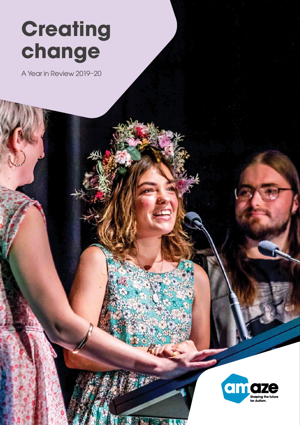# **Creating** change

A Year in Review 2019–20



**MAN**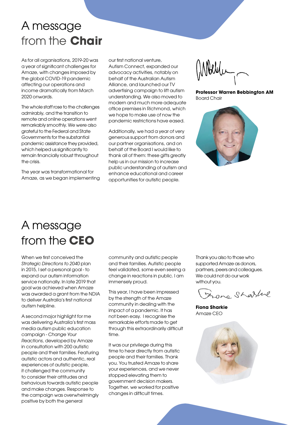# A message from the **Chair**

As for all organisations, 2019-20 was a year of significant challenges for Amaze, with changes imposed by the global COVID-19 pandemic affecting our operations and income dramatically from March 2020 onwards.

The whole staff rose to the challenges admirably, and the transition to remote and online operations went remarkably smoothly. We were also grateful to the Federal and State Governments for the substantial pandemic assistance they provided, which helped us significantly to remain financially robust throughout the crisis.

The year was transformational for Amaze, as we began implementing our first national venture, Autism Connect, expanded our advocacy activities, notably on behalf of the Australian Autism Alliance, and launched our TV advertising campaign to lift autism understanding. We also moved to modern and much more adequate office premises in Richmond, which we hope to make use of now the pandemic restrictions have eased.

Additionally, we had a year of very generous support from donors and our partner organisations, and on behalf of the Board I would like to thank all of them: these gifts greatly help us in our mission to increase public understanding of autism and enhance educational and career opportunities for autistic people.

Mbelle -

Professor Warren Bebbington AM Board Chair



# A message from the CEO

When we first conceived the Strategic Directions to 2040 plan in 2015, I set a personal goal - to expand our autism information service nationally. In late 2019 that goal was achieved when Amaze was awarded a grant from the NDIA to deliver Australia's first national autism helpline.

A second major highlight for me was delivering Australia's first mass media autism public education campaign - Change Your Reactions, developed by Amaze in consultation with 200 autistic people and their families. Featuring autistic actors and authentic, real experiences of autistic people, it challenged the community to consider their attitudes and behaviours towards autistic people and make changes. Response to the campaign was overwhelmingly positive by both the general

community and autistic people and their families. Autistic people feel validated, some even seeing a change in reactions in public. I am immensely proud.

This year, I have been impressed by the strength of the Amaze community in dealing with the impact of a pandemic. It has not been easy. I recognise the remarkable efforts made to get through this extraordinarily difficult time.

It was our privilege during this time to hear directly from autistic people and their families. Thank you. You trusted Amaze to share your experiences, and we never stopped elevating them to government decision makers. Together, we worked for positive changes in difficult times.

Thank you also to those who supported Amaze as donors, partners, peers and colleagues. We could not do our work without you.

France Sharline

Fiona Sharkie Amaze CEO

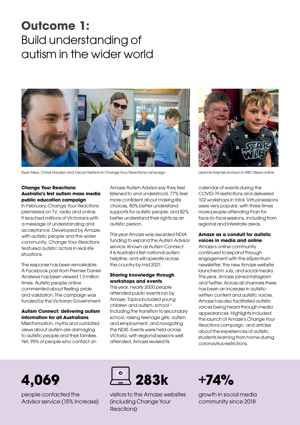# Outcome 1: Build understanding of autism in the wider world



Ryan New, Chloe Hayden and Oscar Harrison in Change Your Reactions campaign Leanne Haynes and son in ABC News online

#### Change Your Reactions: Australia's first autism mass media public education campaign

In February, Change Your Reactions premiered on TV, radio and online. It reached millions of Victorians with a message of understanding and acceptance. Developed by Amaze, with autistic people and the wider community, Change Your Reactions featured autistic actors in real-life situations.

The response has been remarkable. A Facebook post from Premier Daniel Andrews has been viewed 1.3 million times. Autistic people online commented about feeling pride and validation. The campaign was funded by the Victorian Government.

#### Autism Connect: delivering autism information for all Australians

Misinformation, myths and outdated views about autism are damaging to autistic people and their families. Yet, 95% of people who contact an

Amaze Autism Advisor say they feel listened to and understood, 77% feel more confident about making life choices, 80% better understand supports for autistic people, and 82% better understand their rights as an autistic person.

This year Amaze was awarded NDIA funding to expand the Autism Advisor service. Known as Autism Connect, it is Australia's first national autism helpline, and will operate across the country by mid 2021.

#### Sharing knowledge through workshops and events

This year, nearly 3000 people attended public events run by Amaze. Topics included young children and autism, school – including the transition to secondary school, raising teenage girls, autism and employment, and navigating the NDIS. Events were held across Victoria, with regional sessions well attended. Amaze revised its



calendar of events during the COVID-19 restrictions and delivered 102 workshops in total. Virtual sessions were very popular, with three times more people attending than for face-to-face sessions, including from regional and interstate areas.

#### Amaze as a conduit for autistic voices in media and online

Amaze's online community continued to expand through engagement with the eSpectrum newsletter, the new Amaze website launched in July, and social media. This year, Amaze joined Instagram and Twitter. Across all channels there has been an increase in autisticwritten content and autistic voices. Amaze has also facilitated autistic voices being heard through media appearances. Highlights included the launch of Amaze's Change Your Reactions campaign, and articles about the experiences of autistic students learning from home during coronavirus restrictions.

# 4,069

people contacted the Advisor service (15% increase)



visitors to the Amaze websites (including Change Your Reactions)

# $+74%$

growth in social media community since 2018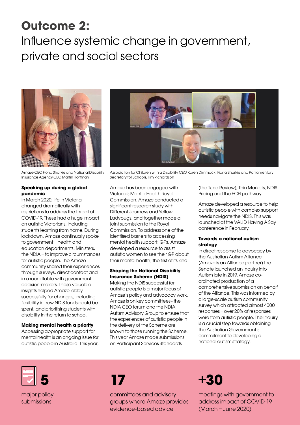# Outcome 2:

# Influence systemic change in government, private and social sectors



Amaze CEO Fiona Sharkie and National Disability Insurance Agency CEO Martin Hoffman

#### Speaking up during a global pandemic

In March 2020, life in Victoria changed dramatically with restrictions to address the threat of COVID-19. These had a huge impact on autistic Victorians, including students learning from home. During lockdown, Amaze continually spoke to government – health and education departments, Ministers, the NDIA – to improve circumstances for autistic people. The Amaze community shared their experiences through surveys, direct contact and in a roundtable with government decision-makers. These valuable insights helped Amaze lobby successfully for changes, including flexibility in how NDIS funds could be spent, and prioritising students with disability in the return to school.

#### Making mental health a priority

Accessing appropriate support for mental health is an ongoing issue for autistic people in Australia. This year,



Association for Children with a Disability CEO Karen Dimmock, Fiona Sharkie and Parliamentary Secretary for Schools, Tim Richardson

Amaze has been engaged with Victoria's Mental Health Royal Commission. Amaze conducted a significant research study with Different Journeys and Yellow Ladybugs, and together made a joint submission to the Royal Commission. To address one of the identified barriers to accessing mental health support, GPs, Amaze developed a resource to assist autistic women to see their GP about their mental health, the first of its kind.

#### Shaping the National Disability Insurance Scheme (NDIS)

Making the NDIS successful for autistic people is a major focus of Amaze's policy and advocacy work. Amaze is on key committees - the NDIA CEO forum and the NDIA Autism Advisory Group to ensure that the experiences of autistic people in the delivery of the Scheme are known to those running the Scheme. This year Amaze made submissions on Participant Services Standards

(the Tune Review), Thin Markets, NDIS Pricing and the ECEI pathway.

Amaze developed a resource to help autistic people with complex support needs navigate the NDIS. This was launched at the VALID Having A Say conference in February.

#### Towards a national autism strategy

In direct response to advocacy by the Australian Autism Alliance (Amaze is an Alliance partner) the Senate launched an Inquiry into Autism late in 2019. Amaze coordinated production of a comprehensive submission on behalf of the Alliance. This was informed by a large-scale autism community survey which attracted almost 4000 responses – over 20% of responses were from autistic people. The Inquiry is a crucial step towards obtaining the Australian Government's commitment to developing a national autism strategy.



major policy submissions



committees and advisory groups where Amaze provides evidence-based advice

### +30

meetings with government to address impact of COVID-19 (March – June 2020)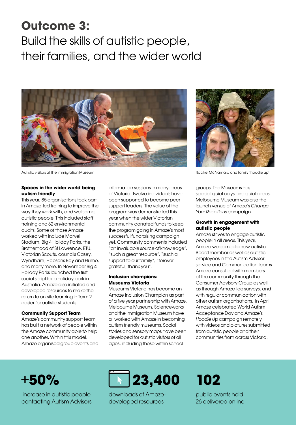# Outcome 3:

Build the skills of autistic people, their families, and the wider world



Autistic visitors at the Immigration Museum and the Immigration Museum Rachel McNamara and family 'hoodie up'

#### Spaces in the wider world being autism friendly

This year, 85 organisations took part in Amaze-led training to improve the way they work with, and welcome, autistic people. This included staff training and 32 environmental audits. Some of those Amaze worked with include Marvel Stadium, Big 4 Holiday Parks, the Brotherhood of St Lawrence, ETU, Victorian Scouts, councils Casey, Wyndham, Hobsons Bay and Hume, and many more. In November Big 4 Holiday Parks launched the first social script for a holiday park in Australia. Amaze also initiated and developed resources to make the return to on-site learning in Term 2 easier for autistic students.

#### Community Support Team

Amaze's community support team has built a network of people within the Amaze community able to help one another. Within this model, Amaze organised group events and information sessions in many areas of Victoria. Twelve individuals have been supported to become peer support leaders. The value of the program was demonstrated this year when the wider Victorian community donated funds to keep the program going in Amaze's most successful fundraising campaign yet. Community comments included "an invaluable source of knowledge", "such a great resource", "such a support to our family", "forever grateful, thank you".

#### Inclusion champions: Museums Victoria

Museums Victoria has become an Amaze Inclusion Champion as part of a five year partnership with Amaze. Melbourne Museum, Scienceworks and the Immigration Museum have all worked with Amaze in becoming autism friendly museums. Social stories and sensory maps have been developed for autistic visitors of all ages, including those within school



groups. The Museums host special quiet days and quiet areas. Melbourne Museum was also the launch venue of Amaze's Change Your Reactions campaign.

#### Growth in engagement with autistic people

Amaze strives to engage autistic people in all areas. This year, Amaze welcomed a new autistic Board member as well as autistic employees in the Autism Advisor service and Communication teams. Amaze consulted with members of the community through the Consumer Advisory Group as well as through Amaze-led surveys, and with regular communication with other autism organisations. In April Amaze celebrated World Autism Acceptance Day and Amaze's Hoodie Up campaign remotely with videos and pictures submitted from autistic people and their communities from across Victoria.

### +50%

 increase in autistic people contacting Autism Advisors



downloads of Amazedeveloped resources

# 102

public events held 26 delivered online